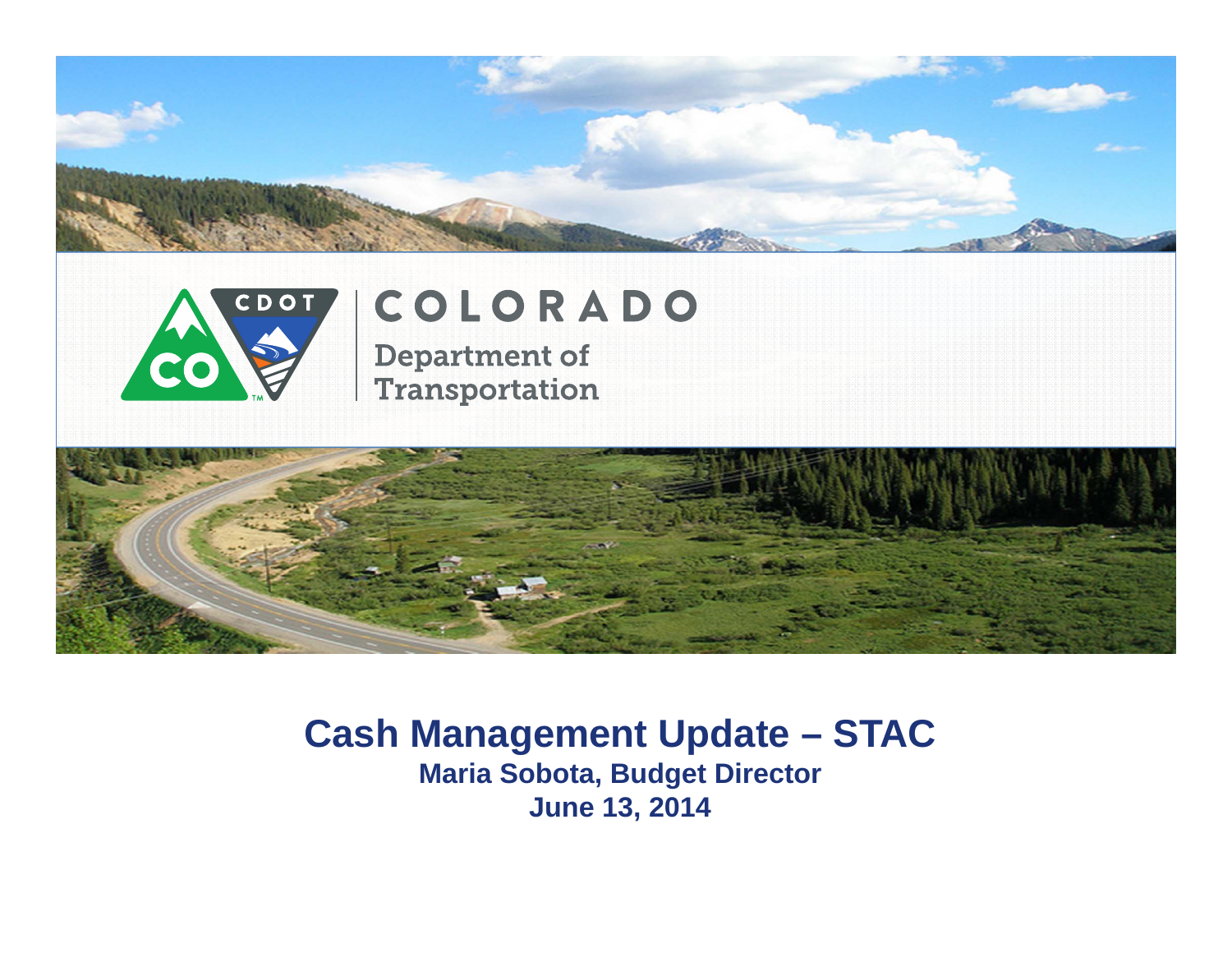



## COLORADO **Department of**

**Transportation** 



## **Cash Management Update – STAC Maria Sobota, Budget Director June 13, 2014**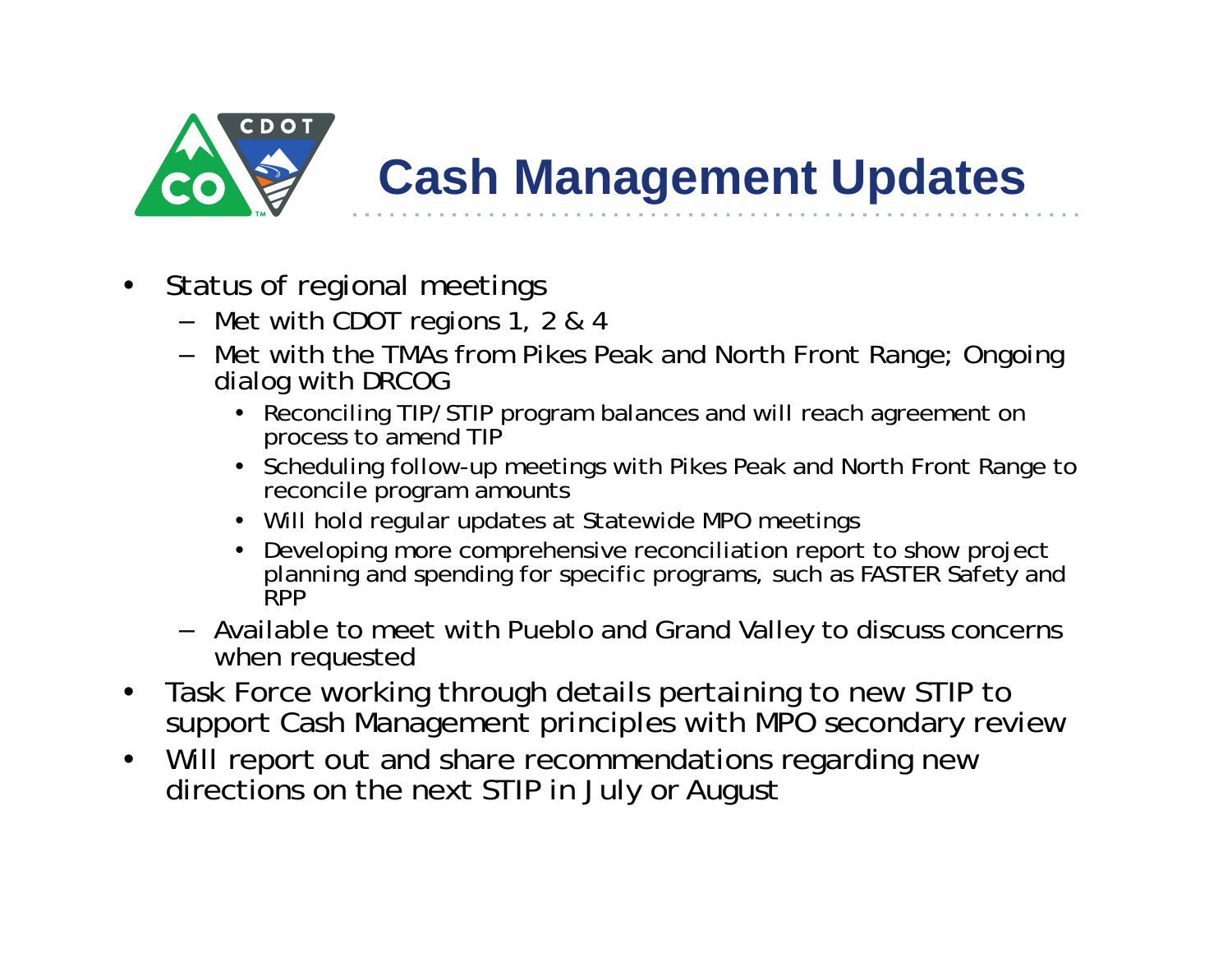

## **Cash Management Updates**

- $\bullet$  Status of regional meetings
	- Met with CDOT regions 1, 2 & 4
	- Met with the TMAs from Pikes Peak and North Front Range; Ongoing dialog with DRCOG
		- Reconciling TIP/STIP program balances and will reach agreement on process to amend TIP
		- Scheduling follow-up meetings with Pikes Peak and North Front Range to reconcile program amounts
		- Will hold regular updates at Statewide MPO meetings
		- Developing more comprehensive reconciliation report to show project planning and spending for specific programs, such as FASTER Safety and **RPP**
	- Available to meet with Pueblo and Grand Valley to discuss concerns when requested
- $\bullet$  Task Force working through details pertaining to new STIP to support Cash Management principles with MPO secondary review
- $\bullet$ Will report out and share recommendations regarding new directions on the next STIP in July or August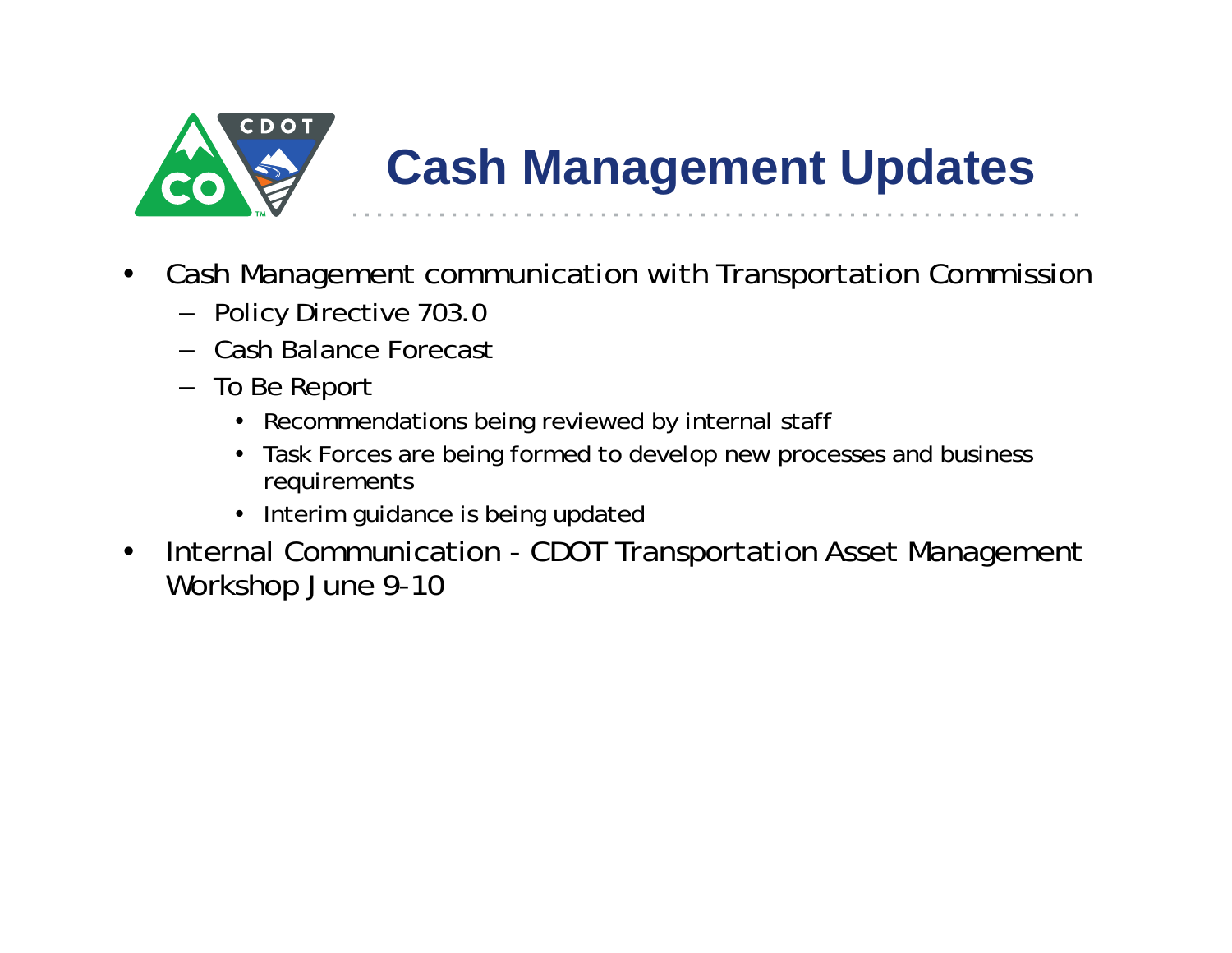

## **Cash Management Updates**

- • Cash Management communication with Transportation Commission
	- Policy Directive 703.0
	- Cash Balance Forecast
	- To Be Report
		- Recommendations being reviewed by internal staff
		- Task Forces are being formed to develop new processes and business requirements
		- Interim guidance is being updated
- $\bullet$  Internal Communication - CDOT Transportation Asset Management Workshop June 9-10